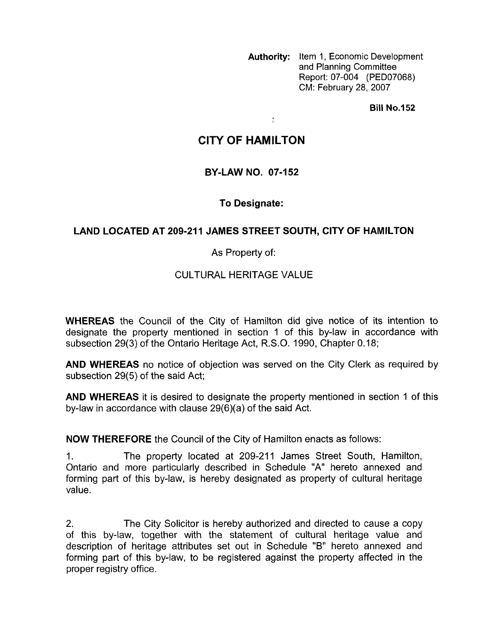**Authority:** Item 1, Economic Development and Planning Committee Report: 07-004 (PED07068) CM: February 28, 2007

**Bill No.152** 

# **CITY OF HAMILTON**

 $\frac{1}{2}$ 

### **BY-LAW NO. 07-152**

## **To Designate:**

### **LAND LOCATED AT 209-211 JAMES STREET SOUTH, CITY OF HAMILTON**

#### As Property of:

### CULTURAL HERITAGE VALUE

**WHEREAS** the Council of the City of Hamilton did give notice of its intention to designate the property mentioned in section 1 of this by-law in accordance with subsection 29(3) of the Ontario Heritage Act, R.S.O. 1990, Chapter 0.18;

**AND WHEREAS** no notice of objection was served on the City Clerk as required by subsection 29(5) of the said Act;

**AND WHEREAS** it is desired to designate the property mentioned in section 1 of this by-law in accordance with clause 29(6)(a) of the said Act.

**NOW THEREFORE** the Council of the City of Hamilton enacts as follows:

1. The property located at 209-21 1 James Street South, Hamilton, Ontario and more particularly described in Schedule "A" hereto annexed and forming part of this by-law, is hereby designated as property of cultural heritage value.

2. The City Solicitor is hereby authorized and directed to cause a copy of this by-law, together with the statement of cultural heritage value and description of heritage attributes set out in Schedule "B" hereto annexed and forming part of this by-law, to be registered against the property affected in the proper registry office.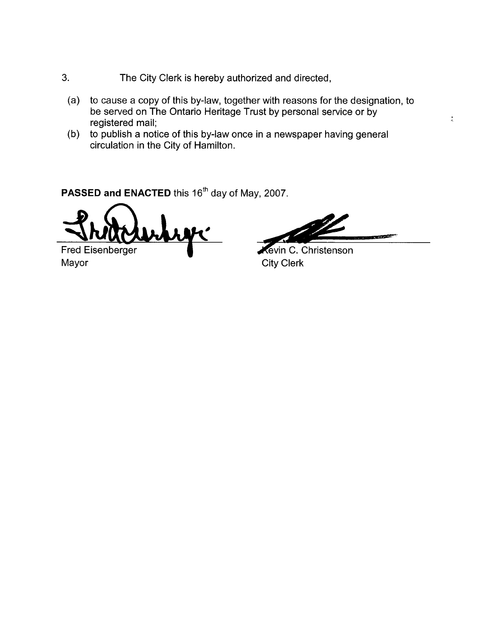- **3.** The City Clerk is hereby authorized and directed,
	- (a) to cause a copy of this by-law, together with reasons for the designation, to be served on The Ontario Heritage Trust by personal service or by registered mail;
	- (b) to publish a notice of this by-law once in a newspaper having general circulation in the City of Hamilton.

PASSED and ENACTED this 16<sup>th</sup> day of May, 2007.

Fred Eisenberger Mayor City Clerk

an ya So

 $\frac{1}{\sigma_{\rm c}}$ 

**Revin C. Christenson**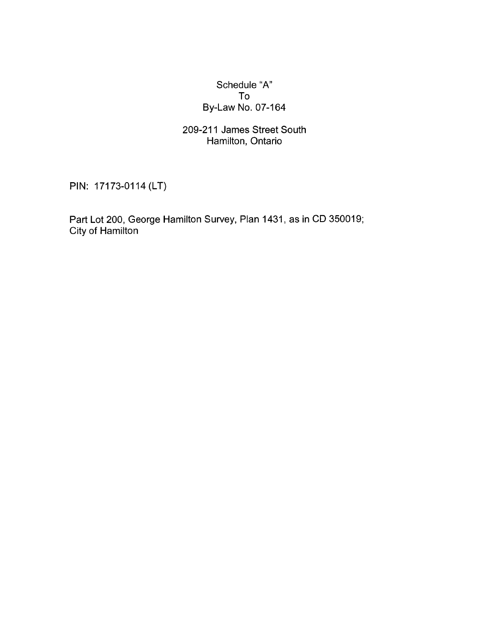### Schedule "A" To By-Law No. 07-164

### 209-21 1 James Street South Hamilton, Ontario

PIN: 17173-0114 (LT)

Part Lot 200, George Hamilton Survey, Plan 1431, as in CD 350019; City of Hamilton